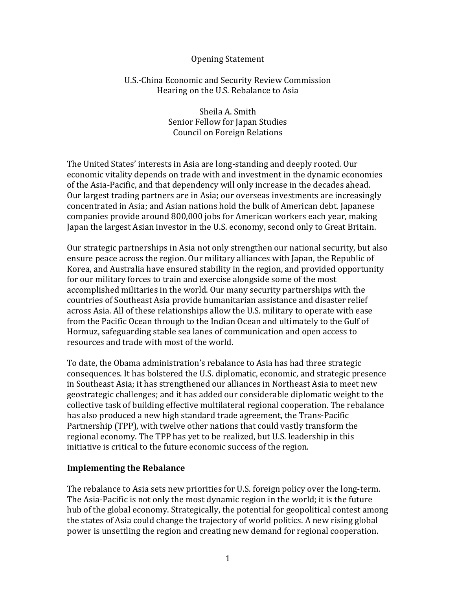## Opening Statement

### U.S.-China Economic and Security Review Commission Hearing on the U.S. Rebalance to Asia

Sheila A. Smith Senior Fellow for Japan Studies Council on Foreign Relations

The United States' interests in Asia are long-standing and deeply rooted. Our economic vitality depends on trade with and investment in the dynamic economies of the Asia-Pacific, and that dependency will only increase in the decades ahead. Our largest trading partners are in Asia; our overseas investments are increasingly concentrated in Asia; and Asian nations hold the bulk of American debt. Japanese companies provide around 800,000 jobs for American workers each year, making Japan the largest Asian investor in the U.S. economy, second only to Great Britain.

Our strategic partnerships in Asia not only strengthen our national security, but also ensure peace across the region. Our military alliances with Japan, the Republic of Korea, and Australia have ensured stability in the region, and provided opportunity for our military forces to train and exercise alongside some of the most accomplished militaries in the world. Our many security partnerships with the countries of Southeast Asia provide humanitarian assistance and disaster relief across Asia. All of these relationships allow the U.S. military to operate with ease from the Pacific Ocean through to the Indian Ocean and ultimately to the Gulf of Hormuz, safeguarding stable sea lanes of communication and open access to resources and trade with most of the world.

To date, the Obama administration's rebalance to Asia has had three strategic consequences. It has bolstered the U.S. diplomatic, economic, and strategic presence in Southeast Asia; it has strengthened our alliances in Northeast Asia to meet new geostrategic challenges; and it has added our considerable diplomatic weight to the collective task of building effective multilateral regional cooperation. The rebalance has also produced a new high standard trade agreement, the Trans-Pacific Partnership (TPP), with twelve other nations that could vastly transform the regional economy. The TPP has yet to be realized, but U.S. leadership in this initiative is critical to the future economic success of the region.

#### **Implementing the Rebalance**

The rebalance to Asia sets new priorities for U.S. foreign policy over the long-term. The Asia-Pacific is not only the most dynamic region in the world; it is the future hub of the global economy. Strategically, the potential for geopolitical contest among the states of Asia could change the trajectory of world politics. A new rising global power is unsettling the region and creating new demand for regional cooperation.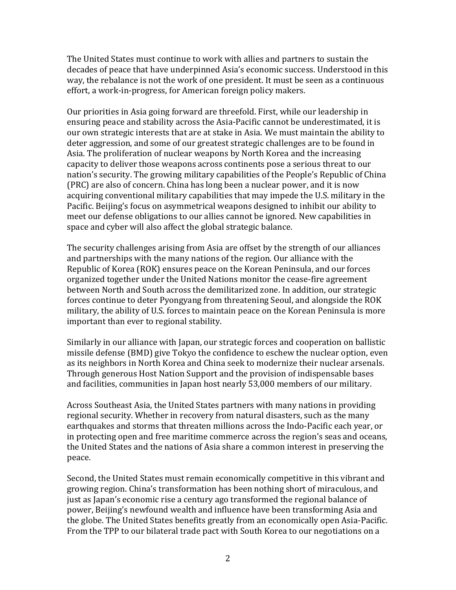The United States must continue to work with allies and partners to sustain the decades of peace that have underpinned Asia's economic success. Understood in this way, the rebalance is not the work of one president. It must be seen as a continuous effort, a work-in-progress, for American foreign policy makers.

Our priorities in Asia going forward are threefold. First, while our leadership in ensuring peace and stability across the Asia-Pacific cannot be underestimated, it is our own strategic interests that are at stake in Asia. We must maintain the ability to deter aggression, and some of our greatest strategic challenges are to be found in Asia. The proliferation of nuclear weapons by North Korea and the increasing capacity to deliver those weapons across continents pose a serious threat to our nation's security. The growing military capabilities of the People's Republic of China (PRC) are also of concern. China has long been a nuclear power, and it is now acquiring conventional military capabilities that may impede the U.S. military in the Pacific. Beijing's focus on asymmetrical weapons designed to inhibit our ability to meet our defense obligations to our allies cannot be ignored. New capabilities in space and cyber will also affect the global strategic balance.

The security challenges arising from Asia are offset by the strength of our alliances and partnerships with the many nations of the region. Our alliance with the Republic of Korea (ROK) ensures peace on the Korean Peninsula, and our forces organized together under the United Nations monitor the cease-fire agreement between North and South across the demilitarized zone. In addition, our strategic forces continue to deter Pyongyang from threatening Seoul, and alongside the ROK military, the ability of U.S. forces to maintain peace on the Korean Peninsula is more important than ever to regional stability.

Similarly in our alliance with Japan, our strategic forces and cooperation on ballistic missile defense (BMD) give Tokyo the confidence to eschew the nuclear option, even as its neighbors in North Korea and China seek to modernize their nuclear arsenals. Through generous Host Nation Support and the provision of indispensable bases and facilities, communities in Japan host nearly 53,000 members of our military.

Across Southeast Asia, the United States partners with many nations in providing regional security. Whether in recovery from natural disasters, such as the many earthquakes and storms that threaten millions across the Indo-Pacific each year, or in protecting open and free maritime commerce across the region's seas and oceans, the United States and the nations of Asia share a common interest in preserving the peace.

Second, the United States must remain economically competitive in this vibrant and growing region. China's transformation has been nothing short of miraculous, and just as Japan's economic rise a century ago transformed the regional balance of power, Beijing's newfound wealth and influence have been transforming Asia and the globe. The United States benefits greatly from an economically open Asia-Pacific. From the TPP to our bilateral trade pact with South Korea to our negotiations on a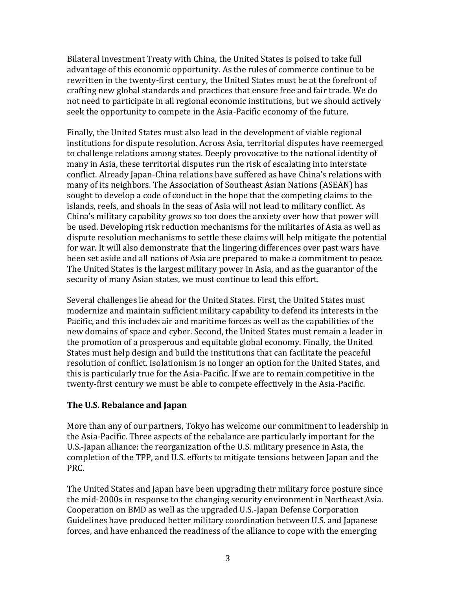Bilateral Investment Treaty with China, the United States is poised to take full advantage of this economic opportunity. As the rules of commerce continue to be rewritten in the twenty-first century, the United States must be at the forefront of crafting new global standards and practices that ensure free and fair trade. We do not need to participate in all regional economic institutions, but we should actively seek the opportunity to compete in the Asia-Pacific economy of the future.

Finally, the United States must also lead in the development of viable regional institutions for dispute resolution. Across Asia, territorial disputes have reemerged to challenge relations among states. Deeply provocative to the national identity of many in Asia, these territorial disputes run the risk of escalating into interstate conflict. Already Japan-China relations have suffered as have China's relations with many of its neighbors. The Association of Southeast Asian Nations (ASEAN) has sought to develop a code of conduct in the hope that the competing claims to the islands, reefs, and shoals in the seas of Asia will not lead to military conflict. As China's military capability grows so too does the anxiety over how that power will be used. Developing risk reduction mechanisms for the militaries of Asia as well as dispute resolution mechanisms to settle these claims will help mitigate the potential for war. It will also demonstrate that the lingering differences over past wars have been set aside and all nations of Asia are prepared to make a commitment to peace. The United States is the largest military power in Asia, and as the guarantor of the security of many Asian states, we must continue to lead this effort.

Several challenges lie ahead for the United States. First, the United States must modernize and maintain sufficient military capability to defend its interests in the Pacific, and this includes air and maritime forces as well as the capabilities of the new domains of space and cyber. Second, the United States must remain a leader in the promotion of a prosperous and equitable global economy. Finally, the United States must help design and build the institutions that can facilitate the peaceful resolution of conflict. Isolationism is no longer an option for the United States, and this is particularly true for the Asia-Pacific. If we are to remain competitive in the twenty-first century we must be able to compete effectively in the Asia-Pacific.

# **The U.S. Rebalance and Japan**

More than any of our partners, Tokyo has welcome our commitment to leadership in the Asia-Pacific. Three aspects of the rebalance are particularly important for the U.S.-Japan alliance: the reorganization of the U.S. military presence in Asia, the completion of the TPP, and U.S. efforts to mitigate tensions between Japan and the PRC.

The United States and Japan have been upgrading their military force posture since the mid-2000s in response to the changing security environment in Northeast Asia. Cooperation on BMD as well as the upgraded U.S.-Japan Defense Corporation Guidelines have produced better military coordination between U.S. and Japanese forces, and have enhanced the readiness of the alliance to cope with the emerging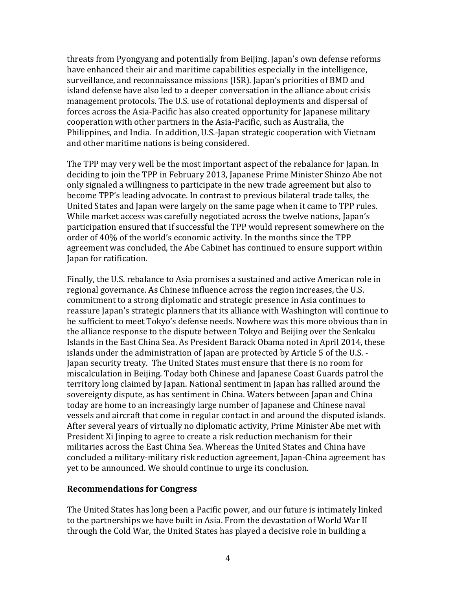threats from Pyongyang and potentially from Beijing. Japan's own defense reforms have enhanced their air and maritime capabilities especially in the intelligence, surveillance, and reconnaissance missions (ISR). Japan's priorities of BMD and island defense have also led to a deeper conversation in the alliance about crisis management protocols. The U.S. use of rotational deployments and dispersal of forces across the Asia-Pacific has also created opportunity for Japanese military cooperation with other partners in the Asia-Pacific, such as Australia, the Philippines, and India. In addition, U.S.-Japan strategic cooperation with Vietnam and other maritime nations is being considered.

The TPP may very well be the most important aspect of the rebalance for Japan. In deciding to join the TPP in February 2013, Japanese Prime Minister Shinzo Abe not only signaled a willingness to participate in the new trade agreement but also to become TPP's leading advocate. In contrast to previous bilateral trade talks, the United States and Japan were largely on the same page when it came to TPP rules. While market access was carefully negotiated across the twelve nations, Japan's participation ensured that if successful the TPP would represent somewhere on the order of 40% of the world's economic activity. In the months since the TPP agreement was concluded, the Abe Cabinet has continued to ensure support within Japan for ratification.

Finally, the U.S. rebalance to Asia promises a sustained and active American role in regional governance. As Chinese influence across the region increases, the U.S. commitment to a strong diplomatic and strategic presence in Asia continues to reassure Japan's strategic planners that its alliance with Washington will continue to be sufficient to meet Tokyo's defense needs. Nowhere was this more obvious than in the alliance response to the dispute between Tokyo and Beijing over the Senkaku Islands in the East China Sea. As President Barack Obama noted in April 2014, these islands under the administration of Japan are protected by Article 5 of the U.S. - Japan security treaty. The United States must ensure that there is no room for miscalculation in Beijing. Today both Chinese and Japanese Coast Guards patrol the territory long claimed by Japan. National sentiment in Japan has rallied around the sovereignty dispute, as has sentiment in China. Waters between Japan and China today are home to an increasingly large number of Japanese and Chinese naval vessels and aircraft that come in regular contact in and around the disputed islands. After several years of virtually no diplomatic activity, Prime Minister Abe met with President Xi Jinping to agree to create a risk reduction mechanism for their militaries across the East China Sea. Whereas the United States and China have concluded a military-military risk reduction agreement, Japan-China agreement has yet to be announced. We should continue to urge its conclusion.

#### **Recommendations for Congress**

The United States has long been a Pacific power, and our future is intimately linked to the partnerships we have built in Asia. From the devastation of World War II through the Cold War, the United States has played a decisive role in building a